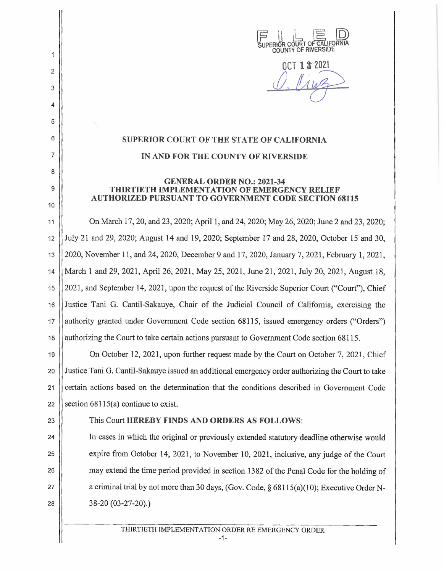

**NCT 1 3 2021** 

## **SUPERIOR COURT OF THE STATE OF CALIFOKNIA IN AND FOR THE COUNTY OF RIVERSIDE**

## **GENERAL ORDER NO.: 2021-34 THIRTIETH IMPLEMENTATION OF EMERGENCY RELIEF AUTHORIZED PURSUANT TO GOVERNMENT CODE SECTION 68115**

11 On March 17, 20, and 23, 2020; April 1, and 24, 2020; May 26, 2020; June 2 and 23, 2020; 12 July 21 and 29, 2020; August 14 and 19, 2020; September 17 and 28, 2020, October 15 and 30, 13 2020, November 11, and 24, 2020, December 9 and 17, 2020, January 7, 2021, February I, 2021, 14 March 1 and 29, 2021, April 26, 2021, May 25, 2021, June 21, 2021, July 20, 2021 , August 18, 15 2021, and September 14, 2021, upon the request of the Riverside Superior Court ("Court"), Chief 16 | Justice Tani G. Cantil-Sakauye, Chair of the Judicial Council of California, exercising the 17 | authority granted under Government Code section 68115, issued emergency orders ("Orders") 18 authorizing the Court to take certain actions pursuant to Government Code section 68115.

19 On October 12, 2021, upon further request made by the Court on October 7, 2021, Chief 20 Justice Tani G. Cantil-Sakauye issued an additional emergency order authorizing the Court to take 21 | certain actions based on the determination that the conditions described in Government Code 22  $\vert$  section 68115(a) continue to exist.

2

1

3

4

5

6

7

8

9

10

## 23 This Court **HEREBY FINDS AND ORDERS AS FOLLOWS:**

24 In cases in which the original or previously extended statutory deadline otherwise would 25 expire from October 14, 2021, to November 10, 2021, inclusive, any judge of the Court 26 **may** extend the time period provided in section 1382 of the Penal Code for the holding of 27  $\vert$  a criminal trial by not more than 30 days, (Gov. Code, § 68115(a)(10); Executive Order N-28 | 38-20 (03-27-20).)